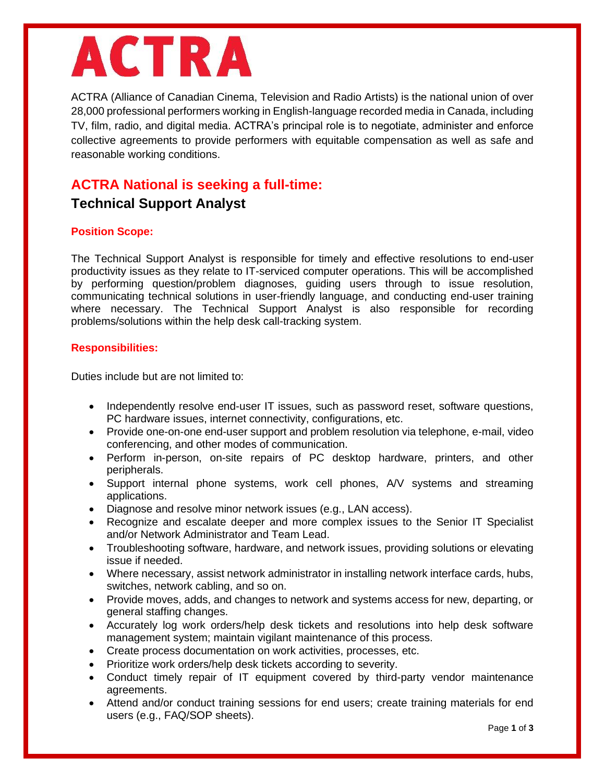# **ACTRA**

ACTRA (Alliance of Canadian Cinema, Television and Radio Artists) is the national union of over 28,000 professional performers working in English-language recorded media in Canada, including TV, film, radio, and digital media. ACTRA's principal role is to negotiate, administer and enforce collective agreements to provide performers with equitable compensation as well as safe and reasonable working conditions.

# **ACTRA National is seeking a full-time:**

# **Technical Support Analyst**

## **Position Scope:**

The Technical Support Analyst is responsible for timely and effective resolutions to end-user productivity issues as they relate to IT-serviced computer operations. This will be accomplished by performing question/problem diagnoses, guiding users through to issue resolution, communicating technical solutions in user-friendly language, and conducting end-user training where necessary. The Technical Support Analyst is also responsible for recording problems/solutions within the help desk call-tracking system.

## **Responsibilities:**

Duties include but are not limited to:

- Independently resolve end-user IT issues, such as password reset, software questions, PC hardware issues, internet connectivity, configurations, etc.
- Provide one-on-one end-user support and problem resolution via telephone, e-mail, video conferencing, and other modes of communication.
- Perform in-person, on-site repairs of PC desktop hardware, printers, and other peripherals.
- Support internal phone systems, work cell phones, A/V systems and streaming applications.
- Diagnose and resolve minor network issues (e.g., LAN access).
- Recognize and escalate deeper and more complex issues to the Senior IT Specialist and/or Network Administrator and Team Lead.
- Troubleshooting software, hardware, and network issues, providing solutions or elevating issue if needed.
- Where necessary, assist network administrator in installing network interface cards, hubs, switches, network cabling, and so on.
- Provide moves, adds, and changes to network and systems access for new, departing, or general staffing changes.
- Accurately log work orders/help desk tickets and resolutions into help desk software management system; maintain vigilant maintenance of this process.
- Create process documentation on work activities, processes, etc.
- Prioritize work orders/help desk tickets according to severity.
- Conduct timely repair of IT equipment covered by third-party vendor maintenance agreements.
- Attend and/or conduct training sessions for end users; create training materials for end users (e.g., FAQ/SOP sheets).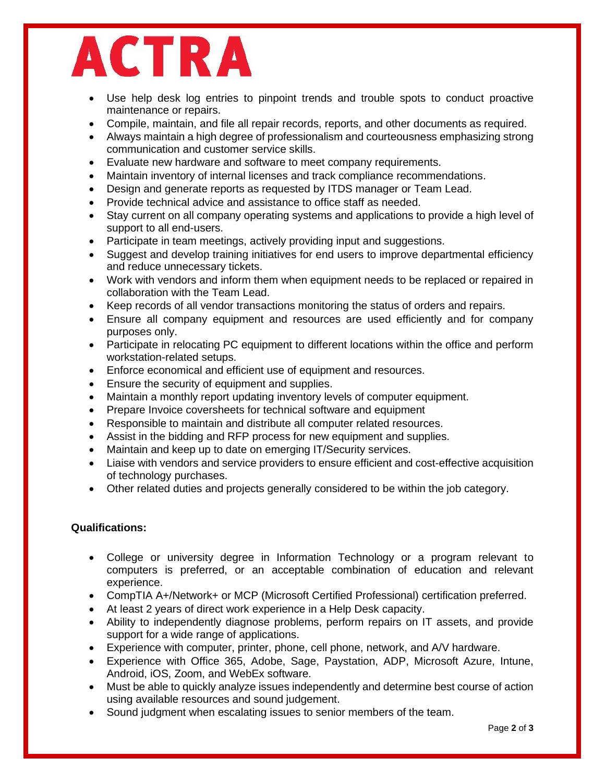

- Use help desk log entries to pinpoint trends and trouble spots to conduct proactive maintenance or repairs.
- Compile, maintain, and file all repair records, reports, and other documents as required.
- Always maintain a high degree of professionalism and courteousness emphasizing strong communication and customer service skills.
- Evaluate new hardware and software to meet company requirements.
- Maintain inventory of internal licenses and track compliance recommendations.
- Design and generate reports as requested by ITDS manager or Team Lead.
- Provide technical advice and assistance to office staff as needed.
- Stay current on all company operating systems and applications to provide a high level of support to all end-users.
- Participate in team meetings, actively providing input and suggestions.
- Suggest and develop training initiatives for end users to improve departmental efficiency and reduce unnecessary tickets.
- Work with vendors and inform them when equipment needs to be replaced or repaired in collaboration with the Team Lead.
- Keep records of all vendor transactions monitoring the status of orders and repairs.
- Ensure all company equipment and resources are used efficiently and for company purposes only.
- Participate in relocating PC equipment to different locations within the office and perform workstation-related setups.
- Enforce economical and efficient use of equipment and resources.
- Ensure the security of equipment and supplies.
- Maintain a monthly report updating inventory levels of computer equipment.
- Prepare Invoice coversheets for technical software and equipment
- Responsible to maintain and distribute all computer related resources.
- Assist in the bidding and RFP process for new equipment and supplies.
- Maintain and keep up to date on emerging IT/Security services.
- Liaise with vendors and service providers to ensure efficient and cost-effective acquisition of technology purchases.
- Other related duties and projects generally considered to be within the job category.

## **Qualifications:**

- College or university degree in Information Technology or a program relevant to computers is preferred, or an acceptable combination of education and relevant experience.
- CompTIA A+/Network+ or MCP (Microsoft Certified Professional) certification preferred.
- At least 2 years of direct work experience in a Help Desk capacity.
- Ability to independently diagnose problems, perform repairs on IT assets, and provide support for a wide range of applications.
- Experience with computer, printer, phone, cell phone, network, and A/V hardware.
- Experience with Office 365, Adobe, Sage, Paystation, ADP, Microsoft Azure, Intune, Android, iOS, Zoom, and WebEx software.
- Must be able to quickly analyze issues independently and determine best course of action using available resources and sound judgement.
- Sound judgment when escalating issues to senior members of the team.